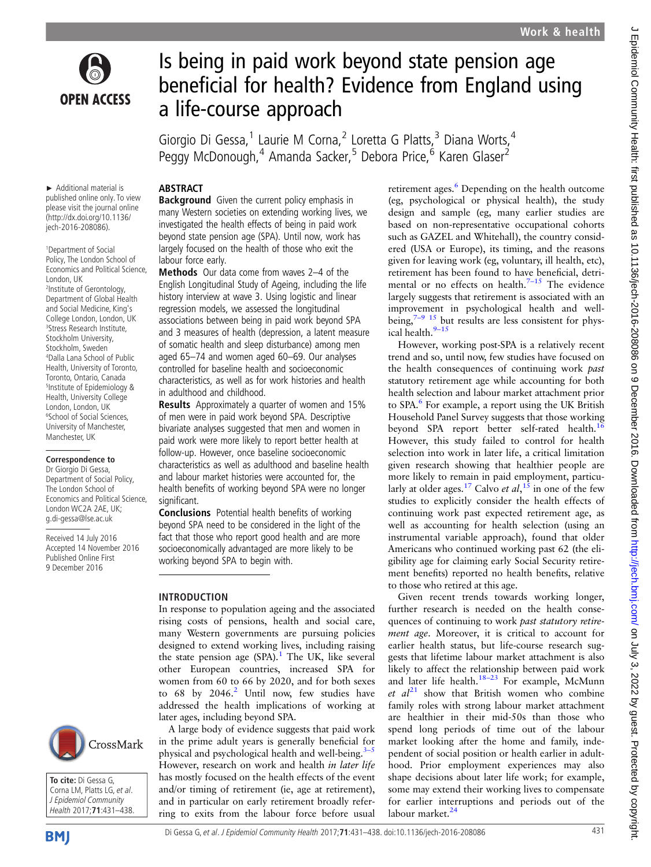

Is being in paid work beyond state pension age beneficial for health? Evidence from England using a life-course approach

Giorgio Di Gessa,<sup>1</sup> Laurie M Corna,<sup>2</sup> Loretta G Platts,<sup>3</sup> Diana Worts,<sup>4</sup> Peggy McDonough,<sup>4</sup> Amanda Sacker,<sup>5</sup> Debora Price,<sup>6</sup> Karen Glaser<sup>2</sup>

## ABSTRACT

► Additional material is published online only. To view please visit the journal online (http://dx.doi.org/10.1136/ jech-2016-208086).

1 Department of Social Policy, The London School of Economics and Political Science, London, UK 2 Institute of Gerontology, Department of Global Health and Social Medicine, King's College London, London, UK 3 Stress Research Institute, Stockholm University, Stockholm, Sweden 4 Dalla Lana School of Public Health, University of Toronto, Toronto, Ontario, Canada 5 Institute of Epidemiology & Health, University College London, London, UK 6 School of Social Sciences, University of Manchester, Manchester, UK

### **Correspondence to**

Dr Giorgio Di Gessa, Department of Social Policy, The London School of Economics and Political Science, London WC2A 2AE, UK; g.di-gessa@lse.ac.uk

Received 14 July 2016 Accepted 14 November 2016 Published Online First 9 December 2016





**Background** Given the current policy emphasis in many Western societies on extending working lives, we investigated the health effects of being in paid work beyond state pension age (SPA). Until now, work has largely focused on the health of those who exit the labour force early.

Methods Our data come from waves 2-4 of the English Longitudinal Study of Ageing, including the life history interview at wave 3. Using logistic and linear regression models, we assessed the longitudinal associations between being in paid work beyond SPA and 3 measures of health (depression, a latent measure of somatic health and sleep disturbance) among men aged 65–74 and women aged 60–69. Our analyses controlled for baseline health and socioeconomic characteristics, as well as for work histories and health in adulthood and childhood.

Results Approximately a quarter of women and 15% of men were in paid work beyond SPA. Descriptive bivariate analyses suggested that men and women in paid work were more likely to report better health at follow-up. However, once baseline socioeconomic characteristics as well as adulthood and baseline health and labour market histories were accounted for, the health benefits of working beyond SPA were no longer significant.

Conclusions Potential health benefits of working beyond SPA need to be considered in the light of the fact that those who report good health and are more socioeconomically advantaged are more likely to be working beyond SPA to begin with.

# INTRODUCTION

In response to population ageing and the associated rising costs of pensions, health and social care, many Western governments are pursuing policies designed to extend working lives, including raising the state pension age (SPA).<sup>[1](#page-7-0)</sup> The UK, like several other European countries, increased SPA for women from 60 to 66 by 2020, and for both sexes to  $68$  by  $2046<sup>2</sup>$  $2046<sup>2</sup>$  Until now, few studies have addressed the health implications of working at later ages, including beyond SPA.

A large body of evidence suggests that paid work in the prime adult years is generally beneficial for physical and psychological health and well-being. $3-5$  $3-5$ However, research on work and health in later life has mostly focused on the health effects of the event and/or timing of retirement (ie, age at retirement), and in particular on early retirement broadly referring to exits from the labour force before usual

retirement ages.<sup>[6](#page-7-0)</sup> Depending on the health outcome (eg, psychological or physical health), the study design and sample (eg, many earlier studies are based on non-representative occupational cohorts such as GAZEL and Whitehall), the country considered (USA or Europe), its timing, and the reasons given for leaving work (eg, voluntary, ill health, etc), retirement has been found to have beneficial, detrimental or no effects on health. $7-15$  $7-15$  The evidence largely suggests that retirement is associated with an improvement in psychological health and wellbeing, $7-9$  [15](#page-7-0) but results are less consistent for phys-ical health.<sup>9-[15](#page-7-0)</sup>

However, working post-SPA is a relatively recent trend and so, until now, few studies have focused on the health consequences of continuing work past statutory retirement age while accounting for both health selection and labour market attachment prior to SPA.<sup>[6](#page-7-0)</sup> For example, a report using the UK British Household Panel Survey suggests that those working beyond SPA report better self-rated health.<sup>[16](#page-7-0)</sup> However, this study failed to control for health selection into work in later life, a critical limitation given research showing that healthier people are more likely to remain in paid employment, particu-larly at older ages.<sup>[17](#page-7-0)</sup> Calvo *et al*,<sup>[15](#page-7-0)</sup> in one of the few<br>studies to explicitly consider the health effects of studies to explicitly consider the health effects of continuing work past expected retirement age, as well as accounting for health selection (using an instrumental variable approach), found that older Americans who continued working past 62 (the eligibility age for claiming early Social Security retirement benefits) reported no health benefits, relative to those who retired at this age.

Given recent trends towards working longer, further research is needed on the health consequences of continuing to work past statutory retirement age. Moreover, it is critical to account for earlier health status, but life-course research suggests that lifetime labour market attachment is also likely to affect the relationship between paid work and later life health. $18-23$  $18-23$  For example, McMunn et  $al^{21}$  $al^{21}$  $al^{21}$  show that British women who combine family roles with strong labour market attachment are healthier in their mid-50s than those who spend long periods of time out of the labour market looking after the home and family, independent of social position or health earlier in adulthood. Prior employment experiences may also shape decisions about later life work; for example, some may extend their working lives to compensate for earlier interruptions and periods out of the labour market.<sup>[24](#page-7-0)</sup>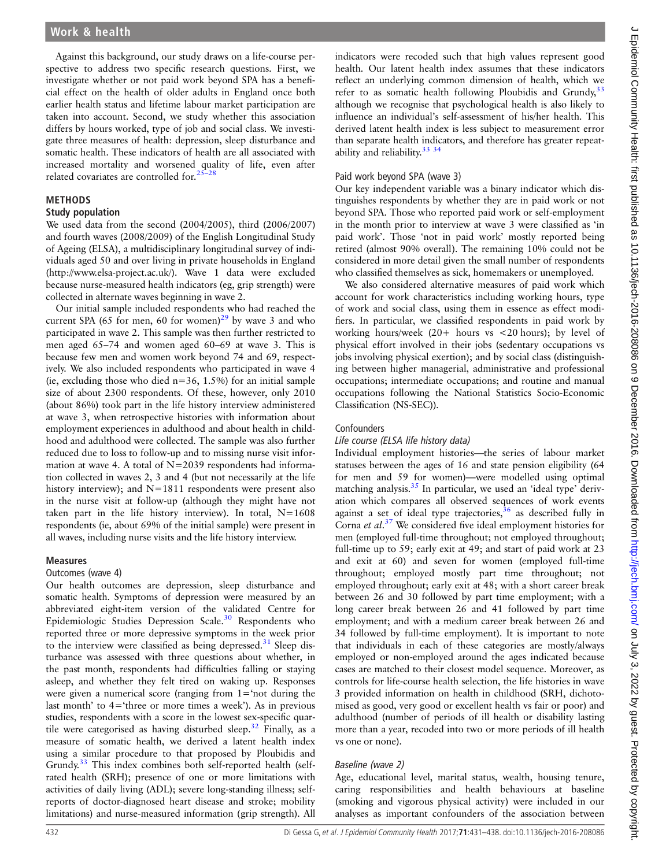Against this background, our study draws on a life-course perspective to address two specific research questions. First, we investigate whether or not paid work beyond SPA has a beneficial effect on the health of older adults in England once both earlier health status and lifetime labour market participation are taken into account. Second, we study whether this association differs by hours worked, type of job and social class. We investigate three measures of health: depression, sleep disturbance and somatic health. These indicators of health are all associated with increased mortality and worsened quality of life, even after related covariates are controlled for. $25-$ 

## METHODS

#### Study population

We used data from the second (2004/2005), third (2006/2007) and fourth waves (2008/2009) of the English Longitudinal Study of Ageing (ELSA), a multidisciplinary longitudinal survey of individuals aged 50 and over living in private households in England ([http://www.elsa-project.ac.uk/\)](http://www.elsa-project.ac.uk/). Wave 1 data were excluded because nurse-measured health indicators (eg, grip strength) were collected in alternate waves beginning in wave 2.

Our initial sample included respondents who had reached the current SPA (65 for men, 60 for women)<sup>[29](#page-7-0)</sup> by wave 3 and who participated in wave 2. This sample was then further restricted to men aged 65–74 and women aged 60–69 at wave 3. This is because few men and women work beyond 74 and 69, respectively. We also included respondents who participated in wave 4 (ie, excluding those who died  $n=36$ , 1.5%) for an initial sample size of about 2300 respondents. Of these, however, only 2010 (about 86%) took part in the life history interview administered at wave 3, when retrospective histories with information about employment experiences in adulthood and about health in childhood and adulthood were collected. The sample was also further reduced due to loss to follow-up and to missing nurse visit information at wave 4. A total of  $N=2039$  respondents had information collected in waves 2, 3 and 4 (but not necessarily at the life history interview); and  $N=1811$  respondents were present also in the nurse visit at follow-up (although they might have not taken part in the life history interview). In total,  $N=1608$ respondents (ie, about 69% of the initial sample) were present in all waves, including nurse visits and the life history interview.

## Measures

#### Outcomes (wave 4)

Our health outcomes are depression, sleep disturbance and somatic health. Symptoms of depression were measured by an abbreviated eight-item version of the validated Centre for Epidemiologic Studies Depression Scale.[30](#page-7-0) Respondents who reported three or more depressive symptoms in the week prior to the interview were classified as being depressed.<sup>[31](#page-7-0)</sup> Sleep disturbance was assessed with three questions about whether, in the past month, respondents had difficulties falling or staying asleep, and whether they felt tired on waking up. Responses were given a numerical score (ranging from 1='not during the last month' to 4='three or more times a week'). As in previous studies, respondents with a score in the lowest sex-specific quartile were categorised as having disturbed sleep. $32$  Finally, as a measure of somatic health, we derived a latent health index using a similar procedure to that proposed by Ploubidis and Grundy.<sup>[33](#page-7-0)</sup> This index combines both self-reported health (selfrated health (SRH); presence of one or more limitations with activities of daily living (ADL); severe long-standing illness; selfreports of doctor-diagnosed heart disease and stroke; mobility limitations) and nurse-measured information (grip strength). All

## Paid work beyond SPA (wave 3)

Our key independent variable was a binary indicator which distinguishes respondents by whether they are in paid work or not beyond SPA. Those who reported paid work or self-employment in the month prior to interview at wave 3 were classified as 'in paid work'. Those 'not in paid work' mostly reported being retired (almost 90% overall). The remaining 10% could not be considered in more detail given the small number of respondents who classified themselves as sick, homemakers or unemployed.

We also considered alternative measures of paid work which account for work characteristics including working hours, type of work and social class, using them in essence as effect modifiers. In particular, we classified respondents in paid work by working hours/week (20+ hours vs <20 hours); by level of physical effort involved in their jobs (sedentary occupations vs jobs involving physical exertion); and by social class (distinguishing between higher managerial, administrative and professional occupations; intermediate occupations; and routine and manual occupations following the National Statistics Socio-Economic Classification (NS-SEC)).

### **Confounders**

## Life course (ELSA life history data)

Individual employment histories—the series of labour market statuses between the ages of 16 and state pension eligibility (64 for men and 59 for women)—were modelled using optimal matching analysis. $35$  In particular, we used an 'ideal type' derivation which compares all observed sequences of work events against a set of ideal type trajectories,  $36$  as described fully in Corna *et al.*<sup>[37](#page-7-0)</sup> We considered five ideal employment histories for men (employed full-time throughout: not employed throughout: men (employed full-time throughout; not employed throughout; full-time up to 59; early exit at 49; and start of paid work at 23 and exit at 60) and seven for women (employed full-time throughout; employed mostly part time throughout; not employed throughout; early exit at 48; with a short career break between 26 and 30 followed by part time employment; with a long career break between 26 and 41 followed by part time employment; and with a medium career break between 26 and 34 followed by full-time employment). It is important to note that individuals in each of these categories are mostly/always employed or non-employed around the ages indicated because cases are matched to their closest model sequence. Moreover, as controls for life-course health selection, the life histories in wave 3 provided information on health in childhood (SRH, dichotomised as good, very good or excellent health vs fair or poor) and adulthood (number of periods of ill health or disability lasting more than a year, recoded into two or more periods of ill health vs one or none).

## Baseline (wave 2)

Age, educational level, marital status, wealth, housing tenure, caring responsibilities and health behaviours at baseline (smoking and vigorous physical activity) were included in our analyses as important confounders of the association between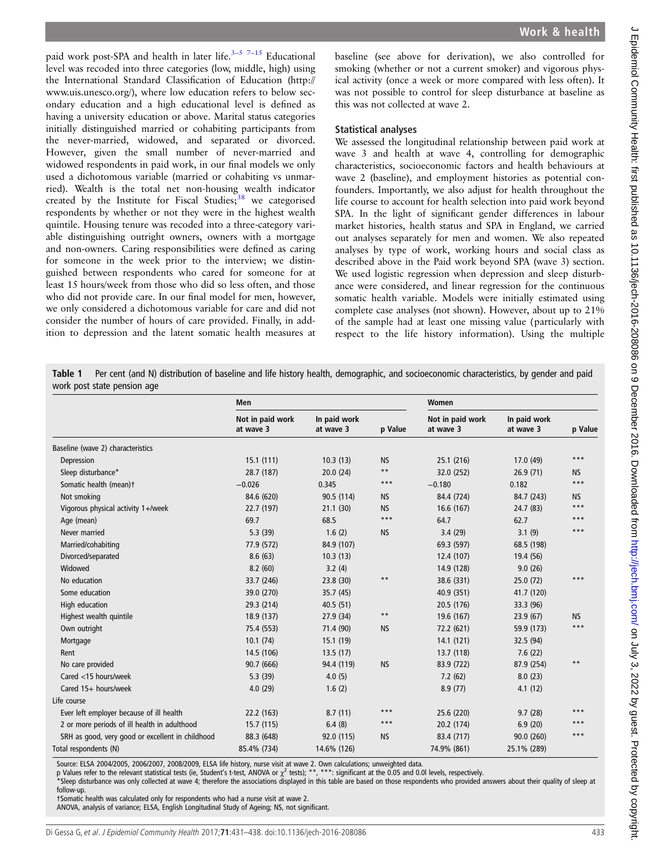<span id="page-2-0"></span>paid work post-SPA and health in later life.<sup> $3-5$  $3-5$ </sup> 7–[15](#page-7-0) Educational level was recoded into three categories (low, middle, high) using the International Standard Classification of Education [\(http://](http://www.uis.unesco.org/) [www.uis.unesco.org/](http://www.uis.unesco.org/)), where low education refers to below secondary education and a high educational level is defined as having a university education or above. Marital status categories initially distinguished married or cohabiting participants from the never-married, widowed, and separated or divorced. However, given the small number of never-married and widowed respondents in paid work, in our final models we only used a dichotomous variable (married or cohabiting vs unmarried). Wealth is the total net non-housing wealth indicator created by the Institute for Fiscal Studies; $38$  we categorised respondents by whether or not they were in the highest wealth quintile. Housing tenure was recoded into a three-category variable distinguishing outright owners, owners with a mortgage and non-owners. Caring responsibilities were defined as caring for someone in the week prior to the interview; we distinguished between respondents who cared for someone for at least 15 hours/week from those who did so less often, and those who did not provide care. In our final model for men, however, we only considered a dichotomous variable for care and did not consider the number of hours of care provided. Finally, in addition to depression and the latent somatic health measures at

baseline (see above for derivation), we also controlled for smoking (whether or not a current smoker) and vigorous physical activity (once a week or more compared with less often). It was not possible to control for sleep disturbance at baseline as this was not collected at wave 2.

### Statistical analyses

We assessed the longitudinal relationship between paid work at wave 3 and health at wave 4, controlling for demographic characteristics, socioeconomic factors and health behaviours at wave 2 (baseline), and employment histories as potential confounders. Importantly, we also adjust for health throughout the life course to account for health selection into paid work beyond SPA. In the light of significant gender differences in labour market histories, health status and SPA in England, we carried out analyses separately for men and women. We also repeated analyses by type of work, working hours and social class as described above in the Paid work beyond SPA (wave 3) section. We used logistic regression when depression and sleep disturbance were considered, and linear regression for the continuous somatic health variable. Models were initially estimated using complete case analyses (not shown). However, about up to 21% of the sample had at least one missing value (particularly with respect to the life history information). Using the multiple

Table 1 Per cent (and N) distribution of baseline and life history health, demographic, and socioeconomic characteristics, by gender and paid work post state pension age

|                                                  | <b>Men</b>                    |                           |              | Women                         |                           |           |
|--------------------------------------------------|-------------------------------|---------------------------|--------------|-------------------------------|---------------------------|-----------|
|                                                  | Not in paid work<br>at wave 3 | In paid work<br>at wave 3 | p Value      | Not in paid work<br>at wave 3 | In paid work<br>at wave 3 | p Value   |
| Baseline (wave 2) characteristics                |                               |                           |              |                               |                           |           |
| Depression                                       | 15.1(111)                     | 10.3(13)                  | <b>NS</b>    | 25.1 (216)                    | 17.0 (49)                 | ***       |
| Sleep disturbance*                               | 28.7 (187)                    | 20.0(24)                  | $\star\star$ | 32.0 (252)                    | 26.9(71)                  | <b>NS</b> |
| Somatic health (mean)t                           | $-0.026$                      | 0.345                     | $***$        | $-0.180$                      | 0.182                     | $***$     |
| Not smoking                                      | 84.6 (620)                    | 90.5 (114)                | <b>NS</b>    | 84.4 (724)                    | 84.7 (243)                | <b>NS</b> |
| Vigorous physical activity 1+/week               | 22.7 (197)                    | 21.1(30)                  | <b>NS</b>    | 16.6(167)                     | 24.7 (83)                 | $***$     |
| Age (mean)                                       | 69.7                          | 68.5                      | $***$        | 64.7                          | 62.7                      | $***$     |
| Never married                                    | 5.3(39)                       | 1.6(2)                    | <b>NS</b>    | 3.4(29)                       | 3.1(9)                    | $***$     |
| Married/cohabiting                               | 77.9 (572)                    | 84.9 (107)                |              | 69.3 (597)                    | 68.5 (198)                |           |
| Divorced/separated                               | 8.6(63)                       | 10.3(13)                  |              | 12.4 (107)                    | 19.4 (56)                 |           |
| Widowed                                          | 8.2(60)                       | 3.2(4)                    |              | 14.9 (128)                    | 9.0(26)                   |           |
| No education                                     | 33.7 (246)                    | 23.8 (30)                 | $***$        | 38.6 (331)                    | 25.0(72)                  | ***       |
| Some education                                   | 39.0 (270)                    | 35.7(45)                  |              | 40.9 (351)                    | 41.7 (120)                |           |
| High education                                   | 29.3 (214)                    | 40.5(51)                  |              | 20.5 (176)                    | 33.3 (96)                 |           |
| Highest wealth quintile                          | 18.9 (137)                    | 27.9(34)                  | $***$        | 19.6 (167)                    | 23.9(67)                  | <b>NS</b> |
| Own outright                                     | 75.4 (553)                    | 71.4 (90)                 | <b>NS</b>    | 72.2 (621)                    | 59.9 (173)                | $***$     |
| Mortgage                                         | 10.1(74)                      | 15.1(19)                  |              | 14.1(121)                     | 32.5 (94)                 |           |
| Rent                                             | 14.5 (106)                    | 13.5(17)                  |              | 13.7 (118)                    | 7.6(22)                   |           |
| No care provided                                 | 90.7 (666)                    | 94.4 (119)                | <b>NS</b>    | 83.9 (722)                    | 87.9 (254)                | $**$      |
| Cared <15 hours/week                             | 5.3(39)                       | 4.0(5)                    |              | 7.2(62)                       | 8.0(23)                   |           |
| Cared 15+ hours/week                             | 4.0(29)                       | 1.6(2)                    |              | 8.9(77)                       | 4.1(12)                   |           |
| Life course                                      |                               |                           |              |                               |                           |           |
| Ever left employer because of ill health         | 22.2 (163)                    | 8.7(11)                   | $***$        | 25.6 (220)                    | 9.7(28)                   | $***$     |
| 2 or more periods of ill health in adulthood     | 15.7(115)                     | 6.4(8)                    | $***$        | 20.2 (174)                    | 6.9(20)                   | ***       |
| SRH as good, very good or excellent in childhood | 88.3 (648)                    | 92.0 (115)                | <b>NS</b>    | 83.4 (717)                    | 90.0 (260)                | $***$     |
| Total respondents (N)                            | 85.4% (734)                   | 14.6% (126)               |              | 74.9% (861)                   | 25.1% (289)               |           |

Source: ELSA 2004/2005, 2006/2007, 2008/2009, ELSA life history, nurse visit at wave 2. Own calculations; unweighted data.

p Values refer to the relevant statistical tests (ie, Student's t-test, ANOVA or  $\chi^2$  tests); \*\*, \*\*\*: significant at the 0.05 and 0.0l levels, respectively.

\*Sleep disturbance was only collected at wave 4; therefore the associations displayed in this table are based on those respondents who provided answers about their quality of sleep at follow-up.

†Somatic health was calculated only for respondents who had a nurse visit at wave 2.

ANOVA, analysis of variance; ELSA, English Longitudinal Study of Ageing; NS, not significant.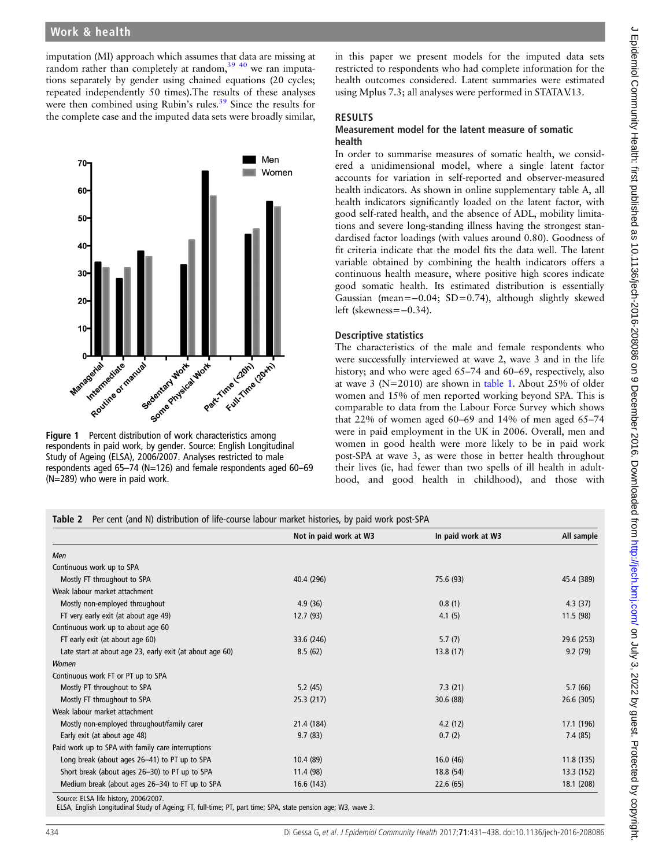<span id="page-3-0"></span>imputation (MI) approach which assumes that data are missing at random rather than completely at random,  $39\frac{40}{10}$  we ran imputations separately by gender using chained equations (20 cycles; repeated independently 50 times).The results of these analyses were then combined using Rubin's rules.<sup>[39](#page-7-0)</sup> Since the results for the complete case and the imputed data sets were broadly similar,



respondents in paid work, by gender. Source: English Longitudinal Study of Ageing (ELSA), 2006/2007. Analyses restricted to male respondents aged 65–74 (N=126) and female respondents aged 60–69 (N=289) who were in paid work.

in this paper we present models for the imputed data sets restricted to respondents who had complete information for the health outcomes considered. Latent summaries were estimated using Mplus 7.3; all analyses were performed in STATAV.13.

## RESULTS

### Measurement model for the latent measure of somatic health

In order to summarise measures of somatic health, we considered a unidimensional model, where a single latent factor accounts for variation in self-reported and observer-measured health indicators. As shown in online [supplementary table A,](http://dx.doi.org/10.1136/jech-2016-208086) all health indicators significantly loaded on the latent factor, with good self-rated health, and the absence of ADL, mobility limitations and severe long-standing illness having the strongest standardised factor loadings (with values around 0.80). Goodness of fit criteria indicate that the model fits the data well. The latent variable obtained by combining the health indicators offers a continuous health measure, where positive high scores indicate good somatic health. Its estimated distribution is essentially Gaussian (mean=−0.04; SD=0.74), although slightly skewed left (skewness=−0.34).

## Descriptive statistics

The characteristics of the male and female respondents who were successfully interviewed at wave 2, wave 3 and in the life history; and who were aged 65–74 and 60–69, respectively, also at wave 3 ( $N=2010$ ) are shown in [table 1](#page-2-0). About 25% of older women and 15% of men reported working beyond SPA. This is comparable to data from the Labour Force Survey which shows that 22% of women aged 60–69 and 14% of men aged 65–74 were in paid employment in the UK in 2006. Overall, men and women in good health were more likely to be in paid work post-SPA at wave 3, as were those in better health throughout their lives (ie, had fewer than two spells of ill health in adulthood, and good health in childhood), and those with

|  |  | Table 2 Per cent (and N) distribution of life-course labour market histories, by paid work post-SPA |  |  |  |
|--|--|-----------------------------------------------------------------------------------------------------|--|--|--|
|--|--|-----------------------------------------------------------------------------------------------------|--|--|--|

|                                                          | Not in paid work at W3 | In paid work at W3 | All sample |
|----------------------------------------------------------|------------------------|--------------------|------------|
| Men                                                      |                        |                    |            |
| Continuous work up to SPA                                |                        |                    |            |
| Mostly FT throughout to SPA                              | 40.4 (296)             | 75.6 (93)          | 45.4 (389) |
| Weak labour market attachment                            |                        |                    |            |
| Mostly non-employed throughout                           | 4.9(36)                | 0.8(1)             | 4.3(37)    |
| FT very early exit (at about age 49)                     | 12.7(93)               | 4.1(5)             | 11.5(98)   |
| Continuous work up to about age 60                       |                        |                    |            |
| FT early exit (at about age 60)                          | 33.6 (246)             | 5.7(7)             | 29.6 (253) |
| Late start at about age 23, early exit (at about age 60) | 8.5(62)                | 13.8(17)           | 9.2(79)    |
| Women                                                    |                        |                    |            |
| Continuous work FT or PT up to SPA                       |                        |                    |            |
| Mostly PT throughout to SPA                              | 5.2(45)                | 7.3(21)            | 5.7(66)    |
| Mostly FT throughout to SPA                              | 25.3(217)              | 30.6(88)           | 26.6 (305) |
| Weak labour market attachment                            |                        |                    |            |
| Mostly non-employed throughout/family carer              | 21.4 (184)             | 4.2(12)            | 17.1 (196) |
| Early exit (at about age 48)                             | 9.7(83)                | 0.7(2)             | 7.4(85)    |
| Paid work up to SPA with family care interruptions       |                        |                    |            |
| Long break (about ages 26-41) to PT up to SPA            | 10.4(89)               | 16.0(46)           | 11.8 (135) |
| Short break (about ages 26-30) to PT up to SPA           | 11.4 (98)              | 18.8 (54)          | 13.3 (152) |
| Medium break (about ages 26-34) to FT up to SPA          | 16.6(143)              | 22.6(65)           | 18.1 (208) |
| Source: ELSA life history, 2006/2007.                    |                        |                    |            |

ELSA, English Longitudinal Study of Ageing; FT, full-time; PT, part time; SPA, state pension age; W3, wave 3.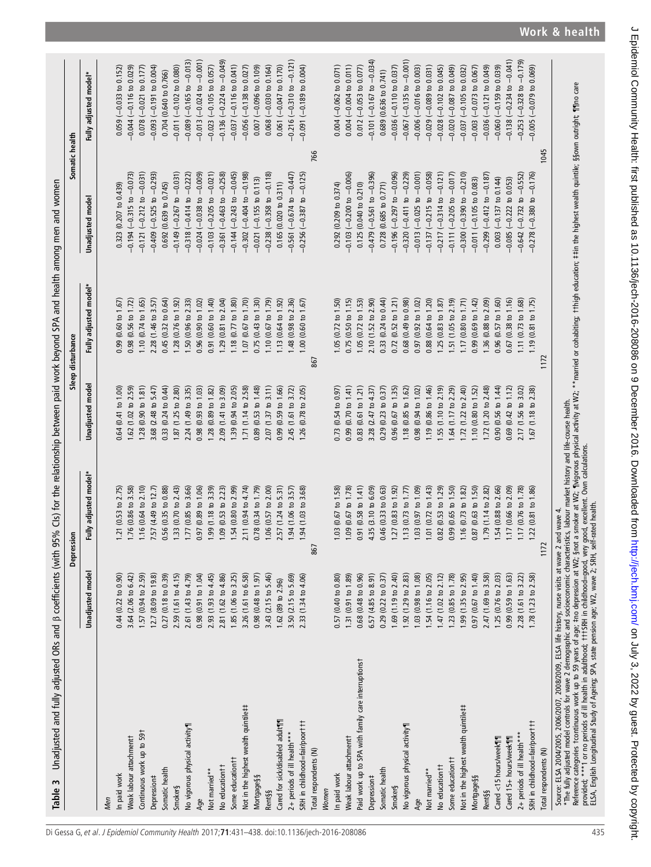Table 3 Unadjusted and fully adjusted ORs and β coefficients (with 95% Cls) for the relationship between paid work beyond SPA and health among men and women Table 3 Unadjusted and fully adjusted ORs and β coefficients (with 95% CIs) for the relationship between paid work beyond SPA and health among men and women

<span id="page-4-0"></span>

|                                                                                                                                                                                                                                                                                                                                               |                                  | Depression                        |                                   | Sleep disturbance              | Somatic health                                                                                                                                                |                                     |
|-----------------------------------------------------------------------------------------------------------------------------------------------------------------------------------------------------------------------------------------------------------------------------------------------------------------------------------------------|----------------------------------|-----------------------------------|-----------------------------------|--------------------------------|---------------------------------------------------------------------------------------------------------------------------------------------------------------|-------------------------------------|
|                                                                                                                                                                                                                                                                                                                                               | <b>Unadjusted</b> model          | Fully adjusted model*             | Unadjusted mode                   | Fully adjusted model*          | <b>Unadjusted</b> mode                                                                                                                                        | Fully adjusted model*               |
| Men                                                                                                                                                                                                                                                                                                                                           |                                  |                                   |                                   |                                |                                                                                                                                                               |                                     |
| In paid work                                                                                                                                                                                                                                                                                                                                  | $0.44$ $(0.22 \text{ to } 0.90)$ | .21(0.53 to 2.75)                 | 0.64(0.41 to 1.00)                | 0.99(0.60 to 1.67)             | 0.323 (0.207 to 0.439)                                                                                                                                        | $0.059$ (-0.033 to 0.152)           |
| Weak labour attachment t                                                                                                                                                                                                                                                                                                                      | 3.64 (2.06 to 6.42)              | $1.76$ (0.86 to 3.58)             | $1.62$ (1.02 to 2.59)             | $0.98$ (0.56 to 1.72)          | $-0.194 (-0.315$ to $-0.073)$                                                                                                                                 | $-0.044$ $(-0.116$ to $0.029)$      |
| Continuous work up to 591                                                                                                                                                                                                                                                                                                                     | 1.57 (0.94 to 2.59)              | 1.16 (0.64 to 2.10)               | 1.28(0.90 to 1.81)                | 1.10 $(0.74 \text{ to } 1.65)$ | $-0.121$ $(-0.212$ to $-0.031)$                                                                                                                               | $0.078 (-0.021$ to $0.177)$         |
| Depression#                                                                                                                                                                                                                                                                                                                                   | 12.7 (8.09 to 19.8)              | 7.57 (4.49 to 12.7)               | 3.68 (2.48 to 5.47)               | 2.28 (1.46 to 3.57)            | $-0.409$ $(-0.525$ to $-0.293)$                                                                                                                               | $-0.093$ $(-0.191$ to 0.004)        |
| Somatic health                                                                                                                                                                                                                                                                                                                                | 0.27 (0.18 to 0.39)              | 0.56 (0.35 to 0.88)               | 0.33(0.24 to 0.44)                | 0.45(0.32 to 0.64)             | 0.692 (0.639 to 0.745)                                                                                                                                        | 0.704 (0.640 to 0.766)              |
| Smoker§                                                                                                                                                                                                                                                                                                                                       | 2.59 (1.61 to 4.15)              | .33 (0.70 to 2.43)                | 1.87 (1.25 to 2.80)               | 1.28 (0.76 to 1.92)            | $-0.149$ $(-0.267$ to $-0.031)$                                                                                                                               | $-0.011 (-0.102 \text{ to } 0.080)$ |
| No vigorous physical activity                                                                                                                                                                                                                                                                                                                 | 2.61 (1.43 to 4.79)              | .77 (0.85 to 3.66)                | 2.24 (1.49 to 3.35)               | 1.50 (0.96 to 2.33)            | $-0.318$ $(-0.414$ to $-0.222)$                                                                                                                               | $-0.089$ $(-0.165$ to $-0.013)$     |
| Age                                                                                                                                                                                                                                                                                                                                           | 0.98(0.91 to 1.04)               | 0.97 (0.89 to 1.06)               | $0.98(0.93 \text{ to } 1.03)$     | 0.96(0.90 to 1.02)             | $-0.024$ $(-0.038$ to $-0.009)$                                                                                                                               | $-0.013$ $(-0.024$ to $-0.001)$     |
| Not married**                                                                                                                                                                                                                                                                                                                                 | 2.93 (1.93 to 4.45)              | .99(1.18 to 3.39)                 | $1.28(0.89 \text{ to } 1.82)$     | 0.91 (0.60 to 1.40)            | $-0.103$ $(-0.205$ to $-0.021)$                                                                                                                               | $-0.023$ $(-0.105$ to $0.057)$      |
| No education <sup>††</sup>                                                                                                                                                                                                                                                                                                                    | 2.81 (1.62 to 4.86)              | .09 (0.53 to 2.23)                | 2.09 (1.41 to 3.09)               | to $2.04$<br>1.29 (0.81        | $-0.361$ $(-0.463$ to $-0.258)$                                                                                                                               | $-0.136(-0.224$ to $-0.049)$        |
| Some education <sup>††</sup>                                                                                                                                                                                                                                                                                                                  | 1.85 (1.06 to 3.25)              | 54 (0.80 to 2.99)                 | 1.39 (0.94 to 2.05)               | 1.18 $(0.77 \text{ to } 1.80)$ | $-0.144$ $(-0.243$ to $-0.045)$                                                                                                                               | $-0.037$ $(-0.116$ to $0.041)$      |
| Not in the highest wealth quintile‡‡                                                                                                                                                                                                                                                                                                          | 3.26 (1.61 to 6.58)              | 2.11 (0.94 to 4.74)               | 1.71 (1.14 to 2.58)               | 1.07 (0.67 to 1.70)            | $-0.302$ $(-0.404$ to $-0.198$                                                                                                                                | $-0.056$ $(-0.138$ to 0.027)        |
| <b>Mortgage§§</b>                                                                                                                                                                                                                                                                                                                             | $0.98(0.48 \text{ to } 1.97)$    | 0.78 (0.34 to 1.79)               | 0.89(0.53 to 1.48)                | 0.75 (0.43 to 1.30)            | $-0.021$ $(-0.155$ to 0.113)                                                                                                                                  | $0.007$ (-0.096 to 0.109)           |
| Rent§§                                                                                                                                                                                                                                                                                                                                        | 3.43 (2.15 to 5.46)              | .06(0.57 to 2.00)                 | 2.07 (1.37 to 3.11)               | 1.10(0.67 to 1.79)             | $-0.238$ $(-0.358$ to $-0.118)$                                                                                                                               | $0.068$ $(-0.030$ to $0.164)$       |
| Cared for sick/disabled adult¶                                                                                                                                                                                                                                                                                                                | 1.62 (89 to 2.96)                | .57 (1.24 to 5.31)                | 0.99(0.59 to 1.66)                | 1.13(0.64 to 1.92)             | $0.165$ (0.020 to 0.311)                                                                                                                                      | $0.061 (-0.047$ to $0.170)$         |
| 2+ periods of ill health***                                                                                                                                                                                                                                                                                                                   | 3.50 (2.15 to 5.69)              | .94(1.06 to 3.57)                 | 2.45 (1.61 to 3.72)               | 1.48 (0.98 to 2.36)            | $-0.561$ $(-0.674$ to $-0.447)$                                                                                                                               | $-0.216$ $(-0.310$ to $-0.121$      |
| SRH in childhood=fair/poort tt                                                                                                                                                                                                                                                                                                                | 2.33 (1.34 to 4.06)              | 94 (1.03 to 3.68)                 | 1.26 (0.78 to 2.05)               | 1.00(0.60 to 1.67)             | $-0.256$ $(-0.387$ to $-0.125$                                                                                                                                | $-0.091 (-0.189 to 0.004)$          |
| Total respondents (N)                                                                                                                                                                                                                                                                                                                         |                                  | 867                               |                                   | 867                            |                                                                                                                                                               | 766                                 |
| Women                                                                                                                                                                                                                                                                                                                                         |                                  |                                   |                                   |                                |                                                                                                                                                               |                                     |
| In paid work                                                                                                                                                                                                                                                                                                                                  | 0.57(0.40 to 0.80)               | .03(0.67 to 1.58)                 | $0.73(0.54 \text{ to } 0.97)$     | $1.05(0.72 \text{ to } 1.50)$  | $0.292$ (0.209 to $0.374$ )                                                                                                                                   | $0.004 (-0.062 to 0.071)$           |
| Weak labour attachment t                                                                                                                                                                                                                                                                                                                      | 1.31 (0.91 to 1.89)              | .09(0.67 to 1.78)                 | $0.99(0.70 \text{ to } 1.41)$     | 0.75(0.50 to 1.15)             | $-0.103$ $(-0.200$ to $-0.006)$                                                                                                                               | $0.004 (-0.004 to 0.011)$           |
| Paid work up to SPA with family care interruptionst                                                                                                                                                                                                                                                                                           | 0.68 (0.48 to 0.96)              | 0.91(0.58 to 1.41)                | 0.83(0.61 to 1.21)                | 1.05 $(0.72 \text{ to } 1.53)$ | 0.125 (0.040 to 0.210)                                                                                                                                        | $0.012$ (-0.053 to 0.077)           |
| Depression#                                                                                                                                                                                                                                                                                                                                   | 6.57 (4.85 to 8.91)              | 4.35 (3.10 to 6.09)               | 3.28 (2.47 to 4.37)               | 2.10 (1.52 to 2.90)            | $-0.479(-0.561 \text{ to } -0.396)$                                                                                                                           | $-0.101 (-0.167$ to $-0.034$ )      |
| Somatic health                                                                                                                                                                                                                                                                                                                                | 0.29 (0.22 to 0.37)              | 0.46 (0.33 to 0.63)               | 0.29(0.23 to 0.37)                | 0.33 (0.24 to 0.44)            | 0.728 (0.685 to 0.771)                                                                                                                                        | 0.689 (0.636 to 0.741)              |
| <b>Smoker§</b>                                                                                                                                                                                                                                                                                                                                | 1.69 (1.19 to 2.40)              | $1.27(0.83 \text{ to } 1.92)$     | 0.96(0.67 to 1.35)                | 0.72 (0.52 to 1.21)            | $-0.196$ $(-0.297$ to $-0.096$ )                                                                                                                              | $-0.036$ $(-0.110$ to 0.037)        |
| No vigorous physical activity                                                                                                                                                                                                                                                                                                                 | 1.92 (1.29 to 2.83)              | 1.13(0.73 to 1.77)                | 1.18(0.85 to 1.62)                | 0.68(0.49 to 0.98)             | $-0.320$ $(-0.411$ to $-0.229)$                                                                                                                               | $-0.067$ ( $-0.135$ to $-0.001$ )   |
| Age                                                                                                                                                                                                                                                                                                                                           | .03(0.98 to 1.08)                | 1.03(0.97 to 1.09)                | 0.98(0.94 t 0.1.02)               | $0.97(0.92 \text{ to } 1.02)$  | $-0.013$ ( $-0.025$ to $-0.001$ )                                                                                                                             | $-0.006$ $(-0.016$ to 0.003)        |
| Not married**                                                                                                                                                                                                                                                                                                                                 | 1.54 (1.16 to 2.05)              | $.01$ (0.72 to 1.43)              | 1.19 (0.86 to 1.46)               | 0.88 (0.64 to 1.20)            | $-0.137$ ( $-0.215$ to $-0.058$ )                                                                                                                             | $-0.029$ $(-0.089$ to $0.031)$      |
| No education <sup>††</sup>                                                                                                                                                                                                                                                                                                                    | 1.47 (1.02 to 2.12)              | 0.82 (0.53 to 1.29)               | 1.55 (1.10 to $2.19$ )            | 1.25(0.83 to 1.87)             | $-0.217$ ( $-0.314$ to $-0.121$ )                                                                                                                             | $-0.028$ $(-0.102$ to 0.045)        |
| Some education <sup>†</sup>                                                                                                                                                                                                                                                                                                                   | 1.23 (0.85 to 1.78)              | 0.99 (0.65 to 1.50)               | 1.64 (1.17 to 2.29)               | 1.51 (1.05 to 2.19)            | $-0.111(-0.205 to -0.017)$                                                                                                                                    | $-0.020$ $(-0.087$ to 0.049)        |
| Not in the highest wealth quintile##                                                                                                                                                                                                                                                                                                          | 1.99 (1.35 to 2.95)              | 1.16(0.73 to 1.82)                | 1.72 (1.22 to 2.40)               | 1.17 (0.80 to 1.71)            | $-0.300$ $(-0.390$ to $-0.210)$                                                                                                                               | $-0.037$ $(-0.105$ to 0.032)        |
| Mortgage§§                                                                                                                                                                                                                                                                                                                                    | 0.97 (0.67 to 1.40)              | $0.87$ (0.63 to 1.50)             | $1.10$ (0.80 to 1.52)             | $0.99(0.69 \text{ to } 1.42)$  | $-0.011(-0.105$ to 0.083)                                                                                                                                     | $-0.003$ $(-0.073$ to 0.067)        |
| <b>Rent§§</b>                                                                                                                                                                                                                                                                                                                                 | 2.47 (1.69 to 3.58)              | 1.79 (1.14 to 2.82)               | 1.72 (1.20 to 2.48)               | 1.36 (0.88 to 2.09)            | $-0.299$ $(-0.412$ to $-0.187)$                                                                                                                               | $-0.036$ $(-0.121$ to 0.049)        |
| Cared <15 hours/week                                                                                                                                                                                                                                                                                                                          | 1.25 (0.76 to 2.03)              | .54 (0.88 to 2.66)                | 0.90(0.56 to 1.44)                | 0.96(0.57 to 1.60)             | $0.003 (-0.137 to 0.144)$                                                                                                                                     | $-0.060$ ( $-0.159$ to 0.039)       |
| Cared 15+ hours/week                                                                                                                                                                                                                                                                                                                          | 0.99 (0.59 to 1.63)              | $.17(0.66 \text{ to } 2.09)$      | 0.69(0.42 to 1.12)                | 0.67(0.38 to 1.16)             | $-0.085$ $(-0.222$ to 0.053)                                                                                                                                  | $-0.138$ $(-0.234$ to $-0.041)$     |
| 2+ periods of ill health***                                                                                                                                                                                                                                                                                                                   | 2.28 (1.61 to 3.22)              | .17(0.76 to 1.78)                 | 2.17 (1.56 to 3.02)               | 1.11 (0.73 to 1.68)            | $-0.642$ (-0.732 to $-0.552$ )                                                                                                                                | $-0.253$ $(-0.328$ to $-0.179$      |
| SRH in childhood=fair/poorttt                                                                                                                                                                                                                                                                                                                 | 1.78 (1.23 to 2.58)              | $(0.81 \text{ to } 1.86)$<br>1.22 | $(1.18 \text{ to } 2.38)$<br>1.67 | 1.19 (0.81 to 1.75)            | $-0.278$ ( $-0.380$ to $-0.176$ )                                                                                                                             | $-0.005$ $(-0.079$ to 0.069)        |
| Total respondents (N)                                                                                                                                                                                                                                                                                                                         |                                  | 1172                              |                                   | 1172                           |                                                                                                                                                               | 1045                                |
| *The fully adjusted model controls for wave 2 demographic and socioeconomic characteristics, labour market history and life-course health.<br>Source: ELSA 2004/2005, 2006/2007, 2008/2009, ELSA life history, nurse visits at wave 2 and wave 4.<br>Reference categories 1 continuous work up to 59 years of age; ‡no depression at W2; §not |                                  |                                   |                                   |                                | a smoker at W2; "[lvigorous physical activity at W2; **married or cohabiting; ††high education; ##in the highest wealth quintile; §§own outright; "[1]no care |                                     |
| provided; ***1 or no periods of ill health in adulthood; †††SRH in childhood=good, very good, excellent. Own calculations.<br>ELSA, English Longitudinal Study of Ageing; SPA, state pension age; W2, wave 2; SRH, self-rated hea                                                                                                             |                                  |                                   |                                   |                                |                                                                                                                                                               |                                     |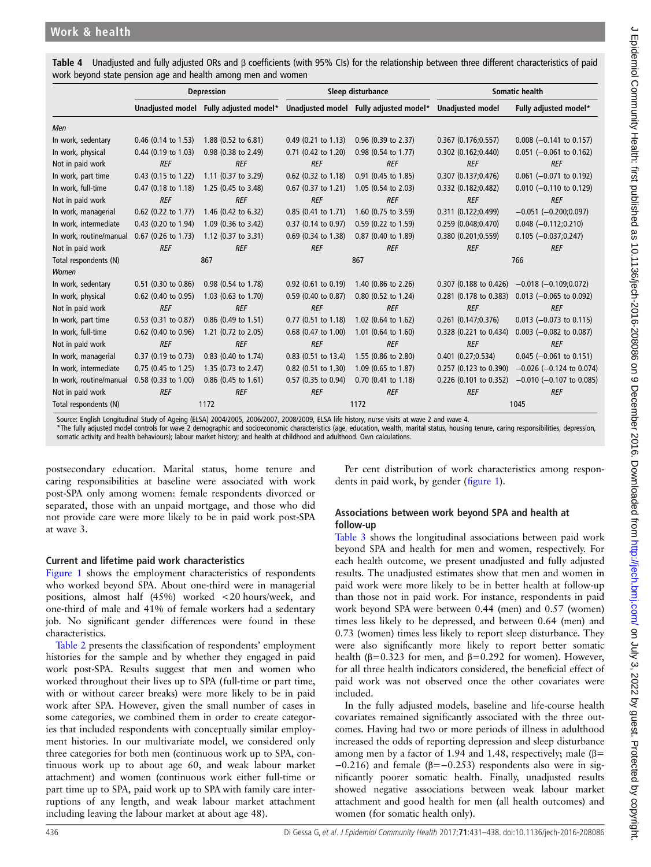|                         | <b>Depression</b>     |                                                                               | Sleep disturbance     |                                | <b>Somatic health</b>    |                               |
|-------------------------|-----------------------|-------------------------------------------------------------------------------|-----------------------|--------------------------------|--------------------------|-------------------------------|
|                         |                       | Unadjusted model Fully adjusted model* Unadjusted model Fully adjusted model* |                       |                                | <b>Unadjusted model</b>  | Fully adjusted model*         |
| Men                     |                       |                                                                               |                       |                                |                          |                               |
| In work, sedentary      | $0.46$ (0.14 to 1.53) | 1.88 (0.52 to 6.81)                                                           | $0.49$ (0.21 to 1.13) | 0.96 (0.39 to 2.37)            | 0.367(0.176;0.557)       | $0.008$ (-0.141 to 0.157)     |
| In work, physical       | $0.44$ (0.19 to 1.03) | 0.98 (0.38 to 2.49)                                                           | $0.71$ (0.42 to 1.20) | $0.98$ (0.54 to 1.77)          | $0.302$ $(0.162; 0.440)$ | $0.051$ (-0.061 to 0.162)     |
| Not in paid work        | <b>REF</b>            | <b>REF</b>                                                                    | <b>REF</b>            | <b>REF</b>                     | <b>REF</b>               | <b>REF</b>                    |
| In work, part time      | 0.43 (0.15 to 1.22)   | 1.11 (0.37 to 3.29)                                                           | 0.62 (0.32 to 1.18)   | 0.91 (0.45 to 1.85)            | 0.307(0.137;0.476)       | $0.061$ (-0.071 to 0.192)     |
| In work, full-time      | $0.47$ (0.18 to 1.18) | 1.25 (0.45 to 3.48)                                                           | $0.67$ (0.37 to 1.21) | $1.05$ (0.54 to 2.03)          | 0.332 (0.182;0.482)      | $0.010$ (-0.110 to 0.129)     |
| Not in paid work        | <b>REF</b>            | <b>REF</b>                                                                    | <b>REF</b>            | <b>REF</b>                     | <b>REF</b>               | <b>REF</b>                    |
| In work, managerial     | 0.62 (0.22 to 1.77)   | 1.46 (0.42 to 6.32)                                                           | $0.85(0.41)$ to 1.71) | 1.60 (0.75 to 3.59)            | 0.311 (0.122;0.499)      | $-0.051$ ( $-0.200;0.097$ )   |
| In work, intermediate   | 0.43 (0.20 to 1.94)   | 1.09 (0.36 to 3.42)                                                           | 0.37 (0.14 to 0.97)   | 0.59 (0.22 to 1.59)            | 0.259(0.048; 0.470)      | $0.048$ (-0.112;0.210)        |
| In work, routine/manual | 0.67 (0.26 to 1.73)   | 1.12 (0.37 to 3.31)                                                           | 0.69 (0.34 to 1.38)   | 0.87 (0.40 to 1.89)            | 0.380 (0.201;0.559)      | $0.105 (-0.037; 0.247)$       |
| Not in paid work        | <b>REF</b>            | <b>REF</b>                                                                    | <b>REF</b>            | <b>REF</b>                     | <b>REF</b>               | <b>REF</b>                    |
| Total respondents (N)   | 867                   |                                                                               |                       | 867                            |                          | 766                           |
| Women                   |                       |                                                                               |                       |                                |                          |                               |
| In work, sedentary      | 0.51 (0.30 to 0.86)   | 0.98 (0.54 to 1.78)                                                           | $0.92$ (0.61 to 0.19) | 1.40 (0.86 to 2.26)            | 0.307 (0.188 to 0.426)   | $-0.018$ ( $-0.109;0.072$ )   |
| In work, physical       | $0.62$ (0.40 to 0.95) | 1.03 (0.63 to 1.70)                                                           | $0.59$ (0.40 to 0.87) | $0.80$ (0.52 to 1.24)          | $0.281$ (0.178 to 0.383) | $0.013$ (-0.065 to 0.092)     |
| Not in paid work        | <b>REF</b>            | <b>REF</b>                                                                    | <b>REF</b>            | <b>REF</b>                     | <b>REF</b>               | <b>REF</b>                    |
| In work, part time      | 0.53 (0.31 to 0.87)   | 0.86 (0.49 to 1.51)                                                           | $0.77$ (0.51 to 1.18) | 1.02 (0.64 to 1.62)            | 0.261(0.147;0.376)       | $0.013$ (-0.073 to 0.115)     |
| In work, full-time      | $0.62$ (0.40 to 0.96) | 1.21 (0.72 to 2.05)                                                           | 0.68 (0.47 to 1.00)   | 1.01 $(0.64 \text{ to } 1.60)$ | 0.328 (0.221 to 0.434)   | $0.003$ (-0.082 to 0.087)     |
| Not in paid work        | <b>REF</b>            | <b>REF</b>                                                                    | <b>REF</b>            | <b>REF</b>                     | <b>REF</b>               | <b>REF</b>                    |
| In work, managerial     | $0.37$ (0.19 to 0.73) | 0.83 (0.40 to 1.74)                                                           | $0.83$ (0.51 to 13.4) | 1.55 (0.86 to 2.80)            | 0.401(0.27; 0.534)       | $0.045$ (-0.061 to 0.151)     |
| In work, intermediate   | 0.75 (0.45 to 1.25)   | 1.35 (0.73 to 2.47)                                                           | $0.82$ (0.51 to 1.30) | 1.09 (0.65 to 1.87)            | 0.257 (0.123 to 0.390)   | $-0.026$ ( $-0.124$ to 0.074) |
| In work, routine/manual | 0.58 (0.33 to 1.00)   | 0.86 (0.45 to 1.61)                                                           | 0.57 (0.35 to 0.94)   | 0.70 (0.41 to 1.18)            | 0.226 (0.101 to 0.352)   | $-0.010$ (-0.107 to 0.085)    |
| Not in paid work        | <b>REF</b>            | <b>REF</b>                                                                    | <b>REF</b>            | <b>REF</b>                     | <b>REF</b>               | <b>REF</b>                    |
| Total respondents (N)   | 1172                  |                                                                               | 1172                  |                                | 1045                     |                               |

<span id="page-5-0"></span>Table 4 Unadjusted and fully adjusted ORs and β coefficients (with 95% CIs) for the relationship between three different characteristics of paid work beyond state pension age and health among men and women

Source: English Longitudinal Study of Ageing (ELSA) 2004/2005, 2006/2007, 2008/2009, ELSA life history, nurse visits at wave 2 and wave 4.

\*The fully adjusted model controls for wave 2 demographic and socioeconomic characteristics (age, education, wealth, marital status, housing tenure, caring responsibilities, depression,

somatic activity and health behaviours); labour market history; and health at childhood and adulthood. Own calculations.

postsecondary education. Marital status, home tenure and caring responsibilities at baseline were associated with work post-SPA only among women: female respondents divorced or separated, those with an unpaid mortgage, and those who did not provide care were more likely to be in paid work post-SPA at wave 3.

# Current and lifetime paid work characteristics

[Figure 1](#page-3-0) shows the employment characteristics of respondents who worked beyond SPA. About one-third were in managerial positions, almost half (45%) worked <20 hours/week, and one-third of male and 41% of female workers had a sedentary job. No significant gender differences were found in these characteristics.

[Table 2](#page-3-0) presents the classification of respondents' employment histories for the sample and by whether they engaged in paid work post-SPA. Results suggest that men and women who worked throughout their lives up to SPA (full-time or part time, with or without career breaks) were more likely to be in paid work after SPA. However, given the small number of cases in some categories, we combined them in order to create categories that included respondents with conceptually similar employment histories. In our multivariate model, we considered only three categories for both men (continuous work up to SPA, continuous work up to about age 60, and weak labour market attachment) and women (continuous work either full-time or part time up to SPA, paid work up to SPA with family care interruptions of any length, and weak labour market attachment including leaving the labour market at about age 48).

Per cent distribution of work characteristics among respondents in paid work, by gender (fi[gure 1](#page-3-0)).

# Associations between work beyond SPA and health at follow-up

[Table 3](#page-4-0) shows the longitudinal associations between paid work beyond SPA and health for men and women, respectively. For each health outcome, we present unadjusted and fully adjusted results. The unadjusted estimates show that men and women in paid work were more likely to be in better health at follow-up than those not in paid work. For instance, respondents in paid work beyond SPA were between 0.44 (men) and 0.57 (women) times less likely to be depressed, and between 0.64 (men) and 0.73 (women) times less likely to report sleep disturbance. They were also significantly more likely to report better somatic health ( $\beta$ =0.323 for men, and  $\beta$ =0.292 for women). However, for all three health indicators considered, the beneficial effect of paid work was not observed once the other covariates were included.

In the fully adjusted models, baseline and life-course health covariates remained significantly associated with the three outcomes. Having had two or more periods of illness in adulthood increased the odds of reporting depression and sleep disturbance among men by a factor of 1.94 and 1.48, respectively; male  $(β =$  $-0.216$ ) and female ( $\beta = -0.253$ ) respondents also were in significantly poorer somatic health. Finally, unadjusted results showed negative associations between weak labour market attachment and good health for men (all health outcomes) and women (for somatic health only).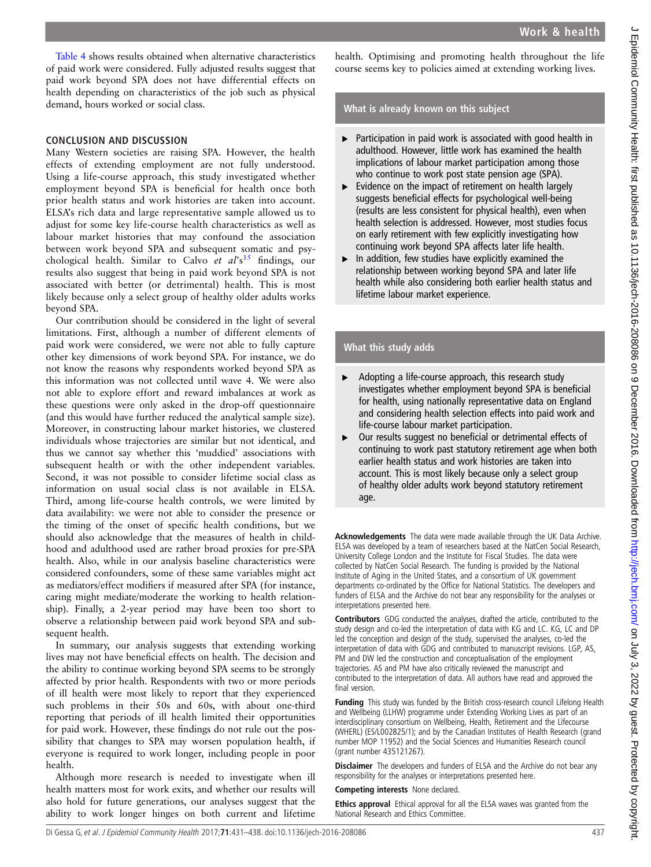[Table 4](#page-5-0) shows results obtained when alternative characteristics of paid work were considered. Fully adjusted results suggest that paid work beyond SPA does not have differential effects on health depending on characteristics of the job such as physical demand, hours worked or social class.

## CONCLUSION AND DISCUSSION

Many Western societies are raising SPA. However, the health effects of extending employment are not fully understood. Using a life-course approach, this study investigated whether employment beyond SPA is beneficial for health once both prior health status and work histories are taken into account. ELSA's rich data and large representative sample allowed us to adjust for some key life-course health characteristics as well as labour market histories that may confound the association between work beyond SPA and subsequent somatic and psychological health. Similar to Calvo *et al's*<sup>[15](#page-7-0)</sup> findings, our results also suggest that being in paid work beyond SPA is not results also suggest that being in paid work beyond SPA is not associated with better (or detrimental) health. This is most likely because only a select group of healthy older adults works beyond SPA.

Our contribution should be considered in the light of several limitations. First, although a number of different elements of paid work were considered, we were not able to fully capture other key dimensions of work beyond SPA. For instance, we do not know the reasons why respondents worked beyond SPA as this information was not collected until wave 4. We were also not able to explore effort and reward imbalances at work as these questions were only asked in the drop-off questionnaire (and this would have further reduced the analytical sample size). Moreover, in constructing labour market histories, we clustered individuals whose trajectories are similar but not identical, and thus we cannot say whether this 'muddied' associations with subsequent health or with the other independent variables. Second, it was not possible to consider lifetime social class as information on usual social class is not available in ELSA. Third, among life-course health controls, we were limited by data availability: we were not able to consider the presence or the timing of the onset of specific health conditions, but we should also acknowledge that the measures of health in childhood and adulthood used are rather broad proxies for pre-SPA health. Also, while in our analysis baseline characteristics were considered confounders, some of these same variables might act as mediators/effect modifiers if measured after SPA (for instance, caring might mediate/moderate the working to health relationship). Finally, a 2-year period may have been too short to observe a relationship between paid work beyond SPA and subsequent health.

In summary, our analysis suggests that extending working lives may not have beneficial effects on health. The decision and the ability to continue working beyond SPA seems to be strongly affected by prior health. Respondents with two or more periods of ill health were most likely to report that they experienced such problems in their 50s and 60s, with about one-third reporting that periods of ill health limited their opportunities for paid work. However, these findings do not rule out the possibility that changes to SPA may worsen population health, if everyone is required to work longer, including people in poor health.

Although more research is needed to investigate when ill health matters most for work exits, and whether our results will also hold for future generations, our analyses suggest that the ability to work longer hinges on both current and lifetime

health. Optimising and promoting health throughout the life course seems key to policies aimed at extending working lives.

## What is already known on this subject

- ▸ Participation in paid work is associated with good health in adulthood. However, little work has examined the health implications of labour market participation among those who continue to work post state pension age (SPA).
- ► Evidence on the impact of retirement on health largely suggests beneficial effects for psychological well-being (results are less consistent for physical health), even when health selection is addressed. However, most studies focus on early retirement with few explicitly investigating how continuing work beyond SPA affects later life health.
- $\blacktriangleright$  In addition, few studies have explicitly examined the relationship between working beyond SPA and later life health while also considering both earlier health status and lifetime labour market experience.

## What this study adds

- ▸ Adopting a life-course approach, this research study investigates whether employment beyond SPA is beneficial for health, using nationally representative data on England and considering health selection effects into paid work and life-course labour market participation.
- ▸ Our results suggest no beneficial or detrimental effects of continuing to work past statutory retirement age when both earlier health status and work histories are taken into account. This is most likely because only a select group of healthy older adults work beyond statutory retirement age.

Acknowledgements The data were made available through the UK Data Archive. ELSA was developed by a team of researchers based at the NatCen Social Research, University College London and the Institute for Fiscal Studies. The data were collected by NatCen Social Research. The funding is provided by the National Institute of Aging in the United States, and a consortium of UK government departments co-ordinated by the Office for National Statistics. The developers and funders of ELSA and the Archive do not bear any responsibility for the analyses or interpretations presented here.

Contributors GDG conducted the analyses, drafted the article, contributed to the study design and co-led the interpretation of data with KG and LC. KG, LC and DP led the conception and design of the study, supervised the analyses, co-led the interpretation of data with GDG and contributed to manuscript revisions. LGP, AS, PM and DW led the construction and conceptualisation of the employment trajectories. AS and PM have also critically reviewed the manuscript and contributed to the interpretation of data. All authors have read and approved the final version.

Funding This study was funded by the British cross-research council Lifelong Health and Wellbeing (LLHW) programme under Extending Working Lives as part of an interdisciplinary consortium on Wellbeing, Health, Retirement and the Lifecourse (WHERL) (ES/L002825/1); and by the Canadian Institutes of Health Research (grand number MOP 11952) and the Social Sciences and Humanities Research council (grant number 435121267).

**Disclaimer** The developers and funders of ELSA and the Archive do not bear any responsibility for the analyses or interpretations presented here.

Competing interests None declared.

Ethics approval Ethical approval for all the ELSA waves was granted from the National Research and Ethics Committee.